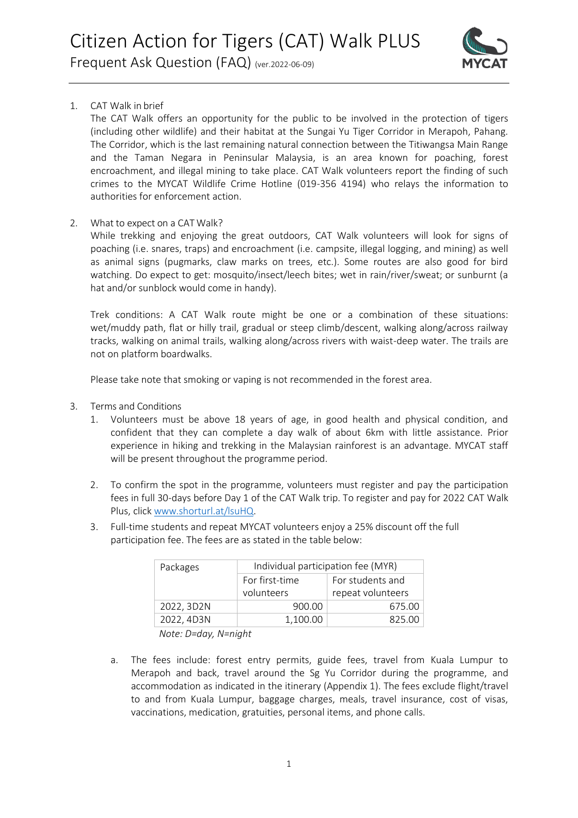

## 1. CAT Walk in brief

The CAT Walk offers an opportunity for the public to be involved in the protection of tigers (including other wildlife) and their habitat at the Sungai Yu Tiger Corridor in Merapoh, Pahang. The Corridor, which is the last remaining natural connection between the Titiwangsa Main Range and the Taman Negara in Peninsular Malaysia, is an area known for poaching, forest encroachment, and illegal mining to take place. CAT Walk volunteers report the finding of such crimes to the MYCAT Wildlife Crime Hotline (019-356 4194) who relays the information to authorities for enforcement action.

## 2. What to expect on a CAT Walk?

While trekking and enjoying the great outdoors, CAT Walk volunteers will look for signs of poaching (i.e. snares, traps) and encroachment (i.e. campsite, illegal logging, and mining) as well as animal signs (pugmarks, claw marks on trees, etc.). Some routes are also good for bird watching. Do expect to get: mosquito/insect/leech bites; wet in rain/river/sweat; or sunburnt (a hat and/or sunblock would come in handy).

Trek conditions: A CAT Walk route might be one or a combination of these situations: wet/muddy path, flat or hilly trail, gradual or steep climb/descent, walking along/across railway tracks, walking on animal trails, walking along/across rivers with waist-deep water. The trails are not on platform boardwalks.

Please take note that smoking or vaping is not recommended in the forest area.

- 3. Terms and Conditions
	- 1. Volunteers must be above 18 years of age, in good health and physical condition, and confident that they can complete a day walk of about 6km with little assistance. Prior experience in hiking and trekking in the Malaysian rainforest is an advantage. MYCAT staff will be present throughout the programme period.
	- 2. To confirm the spot in the programme, volunteers must register and pay the participation fees in full 30-days before Day 1 of the CAT Walk trip. To register and pay for 2022 CAT Walk Plus, click [www.shorturl.at/lsuHQ.](www.shorturl.at/lsuHQ)
	- 3. Full-time students and repeat MYCAT volunteers enjoy a 25% discount off the full participation fee. The fees are as stated in the table below:

| Packages   | Individual participation fee (MYR) |                                       |  |
|------------|------------------------------------|---------------------------------------|--|
|            | For first-time<br>volunteers       | For students and<br>repeat volunteers |  |
| 2022, 3D2N | 900.00                             | 675.00                                |  |
| 2022, 4D3N | 1.100.00                           | 825.00                                |  |

*Note: D=day, N=night*

a. The fees include: forest entry permits, guide fees, travel from Kuala Lumpur to Merapoh and back, travel around the Sg Yu Corridor during the programme, and accommodation as indicated in the itinerary (Appendix 1). The fees exclude flight/travel to and from Kuala Lumpur, baggage charges, meals, travel insurance, cost of visas, vaccinations, medication, gratuities, personal items, and phone calls.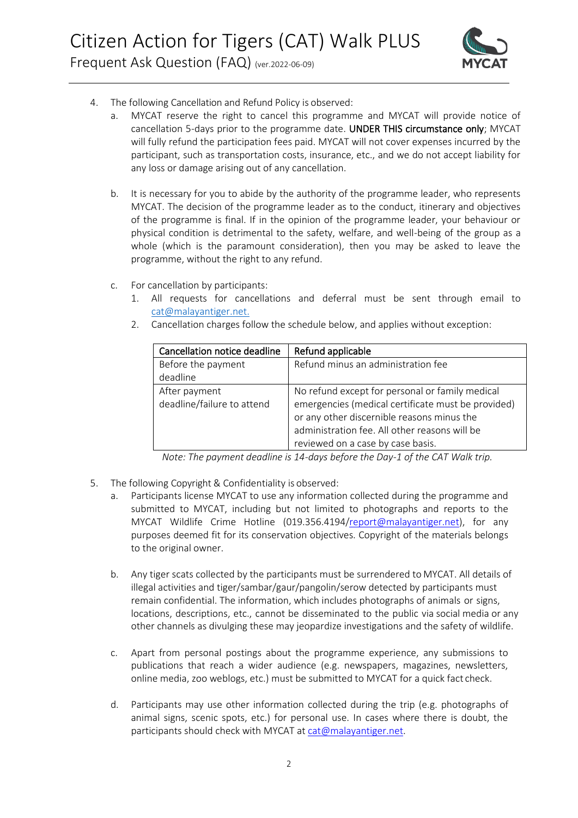

- 4. The following Cancellation and Refund Policy is observed:
	- a. MYCAT reserve the right to cancel this programme and MYCAT will provide notice of cancellation 5-days prior to the programme date. UNDER THIS circumstance only; MYCAT will fully refund the participation fees paid. MYCAT will not cover expenses incurred by the participant, such as transportation costs, insurance, etc., and we do not accept liability for any loss or damage arising out of any cancellation.
	- b. It is necessary for you to abide by the authority of the programme leader, who represents MYCAT. The decision of the programme leader as to the conduct, itinerary and objectives of the programme is final. If in the opinion of the programme leader, your behaviour or physical condition is detrimental to the safety, welfare, and well-being of the group as a whole (which is the paramount consideration), then you may be asked to leave the programme, without the right to any refund.
	- c. For cancellation by participants:
		- 1. All requests for cancellations and deferral must be sent through email to [cat@malayantiger.net.](mailto:cat@malayantiger.net)
		- 2. Cancellation charges follow the schedule below, and applies without exception:

| Cancellation notice deadline | Refund applicable                                  |  |
|------------------------------|----------------------------------------------------|--|
| Before the payment           | Refund minus an administration fee                 |  |
| deadline                     |                                                    |  |
| After payment                | No refund except for personal or family medical    |  |
| deadline/failure to attend   | emergencies (medical certificate must be provided) |  |
|                              | or any other discernible reasons minus the         |  |
|                              | administration fee. All other reasons will be      |  |
|                              | reviewed on a case by case basis.                  |  |

*Note: The payment deadline is 14-days before the Day-1 of the CAT Walk trip.*

- 5. The following Copyright & Confidentiality is observed:
	- a. Participants license MYCAT to use any information collected during the programme and submitted to MYCAT, including but not limited to photographs and reports to the MYCAT Wildlife Crime Hotline (019.356.4194[/report@malayantiger.net\)](mailto:report@malayantiger.net), for any purposes deemed fit for its conservation objectives. Copyright of the materials belongs to the original owner.
	- b. Any tiger scats collected by the participants must be surrendered to MYCAT. All details of illegal activities and tiger/sambar/gaur/pangolin/serow detected by participants must remain confidential. The information, which includes photographs of animals or signs, locations, descriptions, etc., cannot be disseminated to the public via social media or any other channels as divulging these may jeopardize investigations and the safety of wildlife.
	- c. Apart from personal postings about the programme experience, any submissions to publications that reach a wider audience (e.g. newspapers, magazines, newsletters, online media, zoo weblogs, etc.) must be submitted to MYCAT for a quick fact check.
	- d. Participants may use other information collected during the trip (e.g. photographs of animal signs, scenic spots, etc.) for personal use. In cases where there is doubt, the participants should check with MYCAT at [cat@malayantiger.net.](mailto:cat@malayantiger.net)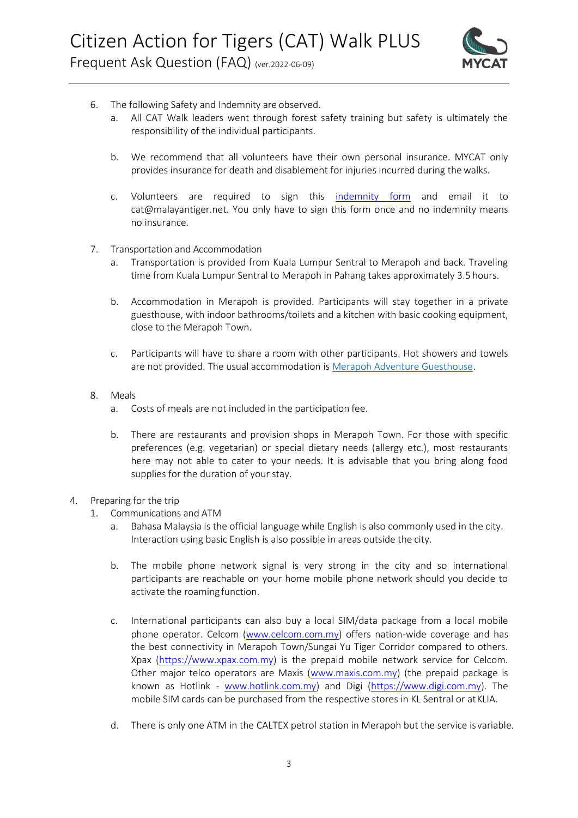

- 6. The following Safety and Indemnity are observed.
	- a. All CAT Walk leaders went through forest safety training but safety is ultimately the responsibility of the individual participants.
	- b. We recommend that all volunteers have their own personal insurance. MYCAT only provides insurance for death and disablement for injuries incurred during thewalks.
	- c. Volunteers are required to sign this [indemnity form](https://drive.google.com/file/d/1IQN2CBdYrfV-FWuDFPFhZ48dG6tMrWJU/view?usp=sharing) and email it t[o](mailto:cat@malayantiger.net) [cat@malayantiger.net. Y](mailto:cat@malayantiger.net)ou only have to sign this form once and no indemnity means no insurance.
- 7. Transportation and Accommodation
	- a. Transportation is provided from Kuala Lumpur Sentral to Merapoh and back. Traveling time from Kuala Lumpur Sentral to Merapoh in Pahang takes approximately 3.5 hours.
	- b. Accommodation in Merapoh is provided. Participants will stay together in a private guesthouse, with indoor bathrooms/toilets and a kitchen with basic cooking equipment, close to the Merapoh Town.
	- c. Participants will have to share a room with other participants. Hot showers and towels are not provided. The usual accommodation is [Merapoh Adventure Guesthouse.](https://www.facebook.com/merapohadventureguesthouse/)
- 8. Meals
	- a. Costs of meals are not included in the participation fee.
	- b. There are restaurants and provision shops in Merapoh Town. For those with specific preferences (e.g. vegetarian) or special dietary needs (allergy etc.), most restaurants here may not able to cater to your needs. It is advisable that you bring along food supplies for the duration of your stay.
- 4. Preparing for the trip
	- 1. Communications and ATM
		- a. Bahasa Malaysia is the official language while English is also commonly used in the city. Interaction using basic English is also possible in areas outside the city.
		- b. The mobile phone network signal is very strong in the city and so international participants are reachable on your home mobile phone network should you decide to activate the roamingfunction.
		- c. International participants can also buy a local SIM/data package from a local mobile phone operator. Celcom [\(www.celcom.com.my\)](http://www.celcom.com.my/) offers nation-wide coverage and has the best connectivity in Merapoh Town/Sungai Yu Tiger Corridor compared to others. Xpax [\(https://www.xpax.com.my\)](https://www.xpax.com.my/) is the prepaid mobile network service for Celcom. Other major telco operators are Maxis [\(www.maxis.com.my\)](http://www.maxis.com.my/) (the prepaid package is known as Hotlink - [www.hotlink.com.my\)](http://www.hotlink.com.my/) and Digi [\(https://www.digi.com.my\)](https://www.digi.com.my/). The mobile SIM cards can be purchased from the respective stores in KL Sentral or atKLIA.
		- d. There is only one ATM in the CALTEX petrol station in Merapoh but the service isvariable.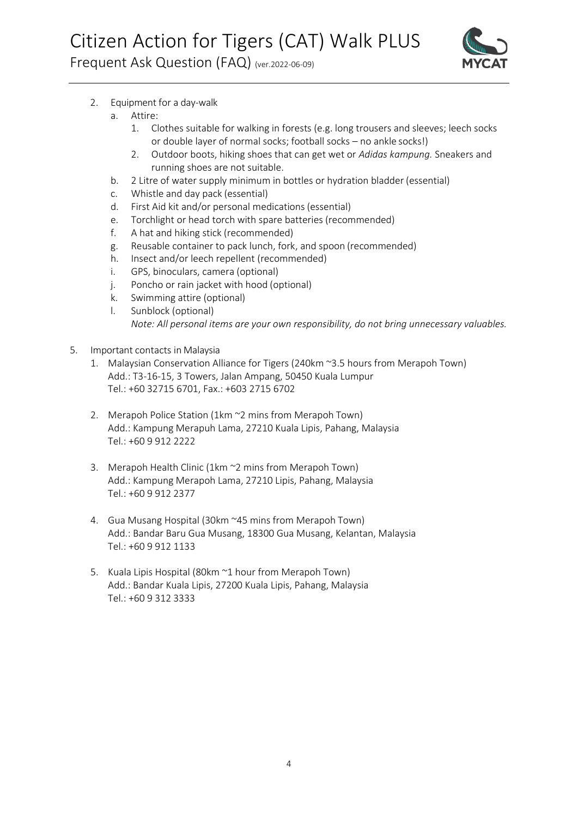

- 2. Equipment for a day-walk
	- Attire:
		- 1. Clothes suitable for walking in forests (e.g. long trousers and sleeves; leech socks or double layer of normal socks; football socks – no ankle socks!)
		- 2. Outdoor boots, hiking shoes that can get wet or *Adidas kampung.* Sneakers and running shoes are not suitable.
	- b. 2 Litre of water supply minimum in bottles or hydration bladder (essential)
	- c. Whistle and day pack (essential)
	- d. First Aid kit and/or personal medications (essential)
	- e. Torchlight or head torch with spare batteries (recommended)
	- f. A hat and hiking stick (recommended)
	- g. Reusable container to pack lunch, fork, and spoon (recommended)
	- h. Insect and/or leech repellent (recommended)
	- i. GPS, binoculars, camera (optional)
	- j. Poncho or rain jacket with hood (optional)
	- k. Swimming attire (optional)
	- l. Sunblock (optional) *Note: All personal items are your own responsibility, do not bring unnecessary valuables.*
- 5. Important contacts in Malaysia
	- 1. Malaysian Conservation Alliance for Tigers (240km ~3.5 hours from Merapoh Town) Add.: T3-16-15, 3 Towers, Jalan Ampang, 50450 Kuala Lumpur Tel.: +60 32715 6701, Fax.: +603 2715 6702
	- 2. Merapoh Police Station (1km ~2 mins from Merapoh Town) Add.: Kampung Merapuh Lama, 27210 Kuala Lipis, Pahang, Malaysia Tel.: +60 9 912 2222
	- 3. Merapoh Health Clinic (1km ~2 mins from Merapoh Town) Add.: Kampung Merapoh Lama, 27210 Lipis, Pahang, Malaysia Tel.: +60 9 912 2377
	- 4. Gua Musang Hospital (30km ~45 mins from Merapoh Town) Add.: Bandar Baru Gua Musang, 18300 Gua Musang, Kelantan, Malaysia Tel.: +60 9 912 1133
	- 5. Kuala Lipis Hospital (80km ~1 hour from Merapoh Town) Add.: Bandar Kuala Lipis, 27200 Kuala Lipis, Pahang, Malaysia Tel.: +60 9 312 3333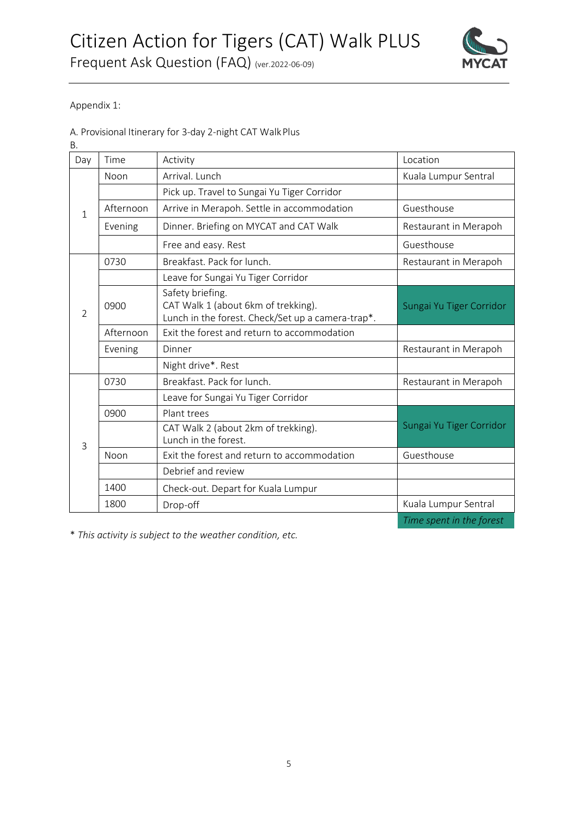## Citizen Action for Tigers (CAT) Walk PLUS Frequent Ask Question (FAQ) (ver.2022-06-09)



Appendix 1:

A. Provisional Itinerary for 3-day 2-night CAT WalkPlus

B.

| Day            | Time      | Activity                                                                                                     | Location                 |  |
|----------------|-----------|--------------------------------------------------------------------------------------------------------------|--------------------------|--|
| $\mathbf{1}$   | Noon      | Arrival. Lunch                                                                                               | Kuala Lumpur Sentral     |  |
|                |           | Pick up. Travel to Sungai Yu Tiger Corridor                                                                  |                          |  |
|                | Afternoon | Arrive in Merapoh. Settle in accommodation                                                                   | Guesthouse               |  |
|                | Evening   | Dinner. Briefing on MYCAT and CAT Walk                                                                       | Restaurant in Merapoh    |  |
|                |           | Free and easy. Rest                                                                                          | Guesthouse               |  |
| $\overline{2}$ | 0730      | Breakfast. Pack for lunch.                                                                                   | Restaurant in Merapoh    |  |
|                |           | Leave for Sungai Yu Tiger Corridor                                                                           |                          |  |
|                | 0900      | Safety briefing.<br>CAT Walk 1 (about 6km of trekking).<br>Lunch in the forest. Check/Set up a camera-trap*. | Sungai Yu Tiger Corridor |  |
|                | Afternoon | Exit the forest and return to accommodation                                                                  |                          |  |
|                | Evening   | Dinner                                                                                                       | Restaurant in Merapoh    |  |
|                |           | Night drive*. Rest                                                                                           |                          |  |
| 3              | 0730      | Breakfast. Pack for lunch.                                                                                   | Restaurant in Merapoh    |  |
|                |           | Leave for Sungai Yu Tiger Corridor                                                                           |                          |  |
|                | 0900      | Plant trees                                                                                                  |                          |  |
|                |           | CAT Walk 2 (about 2km of trekking).<br>Lunch in the forest.                                                  | Sungai Yu Tiger Corridor |  |
|                | Noon      | Exit the forest and return to accommodation                                                                  | Guesthouse               |  |
|                |           | Debrief and review                                                                                           |                          |  |
|                | 1400      | Check-out. Depart for Kuala Lumpur                                                                           |                          |  |
|                | 1800      | Drop-off                                                                                                     | Kuala Lumpur Sentral     |  |
|                |           |                                                                                                              |                          |  |

*Time spent in the forest* 

\* *This activity is subject to the weather condition, etc.*